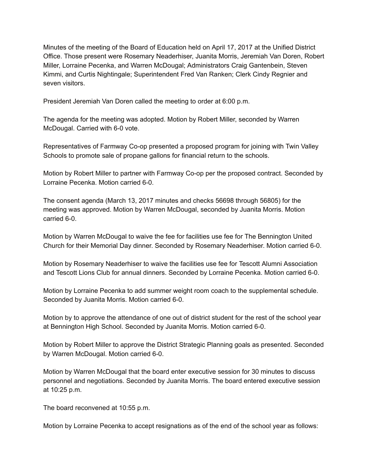Minutes of the meeting of the Board of Education held on April 17, 2017 at the Unified District Office. Those present were Rosemary Neaderhiser, Juanita Morris, Jeremiah Van Doren, Robert Miller, Lorraine Pecenka, and Warren McDougal; Administrators Craig Gantenbein, Steven Kimmi, and Curtis Nightingale; Superintendent Fred Van Ranken; Clerk Cindy Regnier and seven visitors.

President Jeremiah Van Doren called the meeting to order at 6:00 p.m.

The agenda for the meeting was adopted. Motion by Robert Miller, seconded by Warren McDougal. Carried with 6-0 vote.

Representatives of Farmway Co-op presented a proposed program for joining with Twin Valley Schools to promote sale of propane gallons for financial return to the schools.

Motion by Robert Miller to partner with Farmway Co-op per the proposed contract. Seconded by Lorraine Pecenka. Motion carried 6-0.

The consent agenda (March 13, 2017 minutes and checks 56698 through 56805) for the meeting was approved. Motion by Warren McDougal, seconded by Juanita Morris. Motion carried 6-0.

Motion by Warren McDougal to waive the fee for facilities use fee for The Bennington United Church for their Memorial Day dinner. Seconded by Rosemary Neaderhiser. Motion carried 60.

Motion by Rosemary Neaderhiser to waive the facilities use fee for Tescott Alumni Association and Tescott Lions Club for annual dinners. Seconded by Lorraine Pecenka. Motion carried 60.

Motion by Lorraine Pecenka to add summer weight room coach to the supplemental schedule. Seconded by Juanita Morris. Motion carried 6-0.

Motion by to approve the attendance of one out of district student for the rest of the school year at Bennington High School. Seconded by Juanita Morris. Motion carried 6-0.

Motion by Robert Miller to approve the District Strategic Planning goals as presented. Seconded by Warren McDougal. Motion carried 6-0.

Motion by Warren McDougal that the board enter executive session for 30 minutes to discuss personnel and negotiations. Seconded by Juanita Morris. The board entered executive session at 10:25 p.m.

The board reconvened at 10:55 p.m.

Motion by Lorraine Pecenka to accept resignations as of the end of the school year as follows: